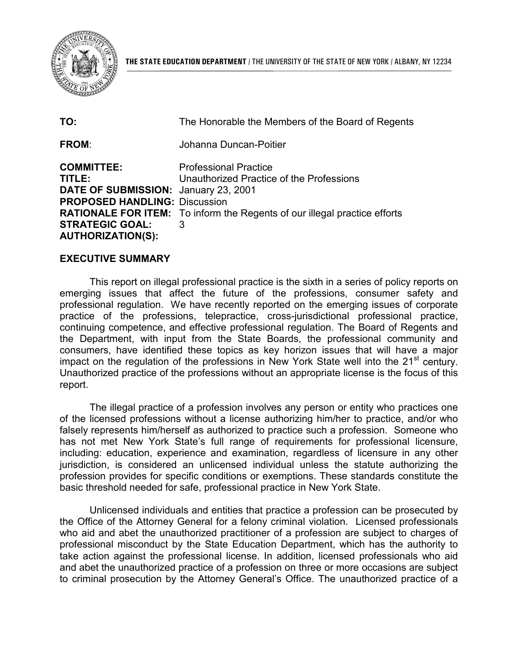

| TO:                                                                                                                                                               | The Honorable the Members of the Board of Regents                                                                                                                 |
|-------------------------------------------------------------------------------------------------------------------------------------------------------------------|-------------------------------------------------------------------------------------------------------------------------------------------------------------------|
| <b>FROM:</b>                                                                                                                                                      | Johanna Duncan-Poitier                                                                                                                                            |
| <b>COMMITTEE:</b><br>TITLE:<br>DATE OF SUBMISSION: January 23, 2001<br><b>PROPOSED HANDLING: Discussion</b><br><b>STRATEGIC GOAL:</b><br><b>AUTHORIZATION(S):</b> | <b>Professional Practice</b><br>Unauthorized Practice of the Professions<br><b>RATIONALE FOR ITEM:</b> To inform the Regents of our illegal practice efforts<br>3 |

## **EXECUTIVE SUMMARY**

 professional regulation. We have recently reported on the emerging issues of corporate the Department, with input from the State Boards, the professional community and impact on the regulation of the professions in New York State well into the 21<sup>st</sup> century. This report on illegal professional practice is the sixth in a series of policy reports on emerging issues that affect the future of the professions, consumer safety and practice of the professions, telepractice, cross-jurisdictional professional practice, continuing competence, and effective professional regulation. The Board of Regents and consumers, have identified these topics as key horizon issues that will have a major Unauthorized practice of the professions without an appropriate license is the focus of this report.

 The illegal practice of a profession involves any person or entity who practices one has not met New York State's full range of requirements for professional licensure, of the licensed professions without a license authorizing him/her to practice, and/or who falsely represents him/herself as authorized to practice such a profession. Someone who including: education, experience and examination, regardless of licensure in any other jurisdiction, is considered an unlicensed individual unless the statute authorizing the profession provides for specific conditions or exemptions. These standards constitute the basic threshold needed for safe, professional practice in New York State.

 the Office of the Attorney General for a felony criminal violation. Licensed professionals who aid and abet the unauthorized practitioner of a profession are subject to charges of and abet the unauthorized practice of a profession on three or more occasions are subject Unlicensed individuals and entities that practice a profession can be prosecuted by professional misconduct by the State Education Department, which has the authority to take action against the professional license. In addition, licensed professionals who aid to criminal prosecution by the Attorney General's Office. The unauthorized practice of a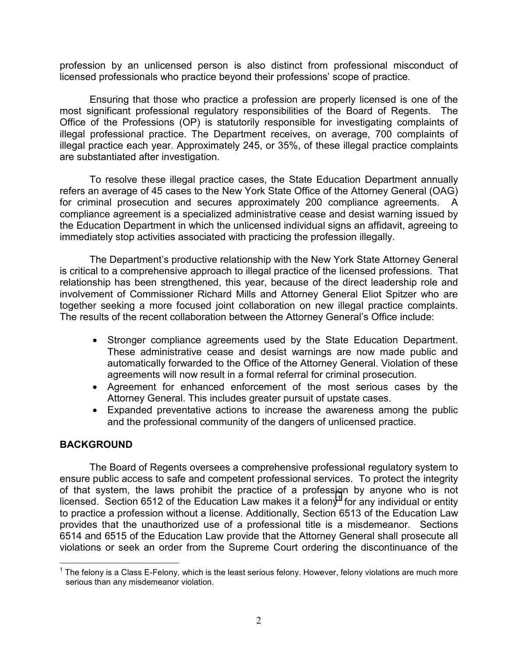profession by an unlicensed person is also distinct from professional misconduct of licensed professionals who practice beyond their professions' scope of practice.

 Ensuring that those who practice a profession are properly licensed is one of the illegal practice each year. Approximately 245, or 35%, of these illegal practice complaints most significant professional regulatory responsibilities of the Board of Regents. The Office of the Professions (OP) is statutorily responsible for investigating complaints of illegal professional practice. The Department receives, on average, 700 complaints of are substantiated after investigation.

 refers an average of 45 cases to the New York State Office of the Attorney General (OAG) To resolve these illegal practice cases, the State Education Department annually for criminal prosecution and secures approximately 200 compliance agreements. A compliance agreement is a specialized administrative cease and desist warning issued by the Education Department in which the unlicensed individual signs an affidavit, agreeing to immediately stop activities associated with practicing the profession illegally.

 together seeking a more focused joint collaboration on new illegal practice complaints. The Department's productive relationship with the New York State Attorney General is critical to a comprehensive approach to illegal practice of the licensed professions. That relationship has been strengthened, this year, because of the direct leadership role and involvement of Commissioner Richard Mills and Attorney General Eliot Spitzer who are The results of the recent collaboration between the Attorney General's Office include:

- Stronger compliance agreements used by the State Education Department. automatically forwarded to the Office of the Attorney General. Violation of these These administrative cease and desist warnings are now made public and agreements will now result in a formal referral for criminal prosecution.
- • Agreement for enhanced enforcement of the most serious cases by the Attorney General. This includes greater pursuit of upstate cases.
- Expanded preventative actions to increase the awareness among the public and the professional community of the dangers of unlicensed practice.

# **BACKGROUND**

licensed. Section 6512 of the Education Law makes it a felony<sup>1</sup> for any individual or entity to practice a profession without a license. Additionally, Section 6513 of the Education Law provides that the unauthorized use of a professional title is a misdemeanor. Sections The Board of Regents oversees a comprehensive professional regulatory system to ensure public access to safe and competent professional services. To protect the integrity of that system, the laws prohibit the practice of a profession by anyone who is not 6514 and 6515 of the Education Law provide that the Attorney General shall prosecute all violations or seek an order from the Supreme Court ordering the discontinuance of the

<sup>1</sup>  $1$  The felony is a Class E-Felony, which is the least serious felony. However, felony violations are much more serious than any misdemeanor violation.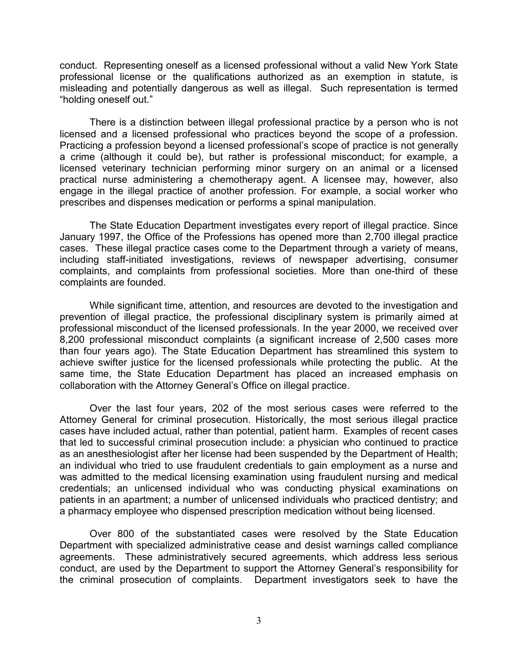conduct. Representing oneself as a licensed professional without a valid New York State professional license or the qualifications authorized as an exemption in statute, is misleading and potentially dangerous as well as illegal. Such representation is termed "holding oneself out."

 Practicing a profession beyond a licensed professional's scope of practice is not generally There is a distinction between illegal professional practice by a person who is not licensed and a licensed professional who practices beyond the scope of a profession. a crime (although it could be), but rather is professional misconduct; for example, a licensed veterinary technician performing minor surgery on an animal or a licensed practical nurse administering a chemotherapy agent. A licensee may, however, also engage in the illegal practice of another profession. For example, a social worker who prescribes and dispenses medication or performs a spinal manipulation.

 including staff-initiated investigations, reviews of newspaper advertising, consumer The State Education Department investigates every report of illegal practice. Since January 1997, the Office of the Professions has opened more than 2,700 illegal practice cases. These illegal practice cases come to the Department through a variety of means, complaints, and complaints from professional societies. More than one-third of these complaints are founded.

 prevention of illegal practice, the professional disciplinary system is primarily aimed at While significant time, attention, and resources are devoted to the investigation and professional misconduct of the licensed professionals. In the year 2000, we received over 8,200 professional misconduct complaints (a significant increase of 2,500 cases more than four years ago). The State Education Department has streamlined this system to achieve swifter justice for the licensed professionals while protecting the public. At the same time, the State Education Department has placed an increased emphasis on collaboration with the Attorney General's Office on illegal practice.

 credentials; an unlicensed individual who was conducting physical examinations on patients in an apartment; a number of unlicensed individuals who practiced dentistry; and Over the last four years, 202 of the most serious cases were referred to the Attorney General for criminal prosecution. Historically, the most serious illegal practice cases have included actual, rather than potential, patient harm. Examples of recent cases that led to successful criminal prosecution include: a physician who continued to practice as an anesthesiologist after her license had been suspended by the Department of Health; an individual who tried to use fraudulent credentials to gain employment as a nurse and was admitted to the medical licensing examination using fraudulent nursing and medical a pharmacy employee who dispensed prescription medication without being licensed.

Over 800 of the substantiated cases were resolved by the State Education Department with specialized administrative cease and desist warnings called compliance agreements. These administratively secured agreements, which address less serious conduct, are used by the Department to support the Attorney General's responsibility for the criminal prosecution of complaints. Department investigators seek to have the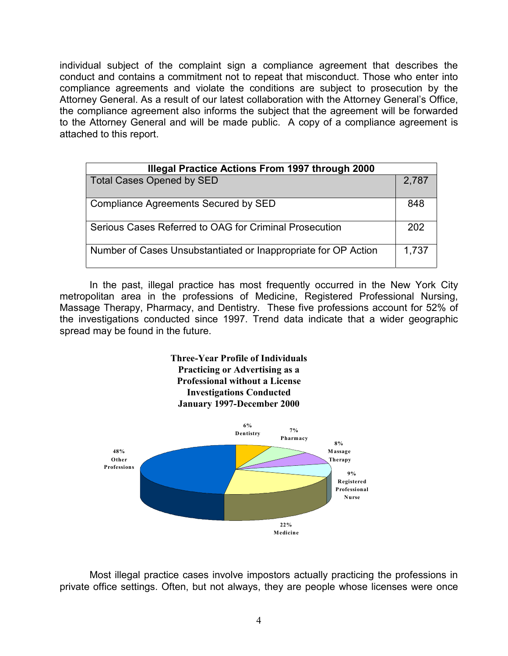individual subject of the complaint sign a compliance agreement that describes the conduct and contains a commitment not to repeat that misconduct. Those who enter into compliance agreements and violate the conditions are subject to prosecution by the Attorney General. As a result of our latest collaboration with the Attorney General's Office, the compliance agreement also informs the subject that the agreement will be forwarded to the Attorney General and will be made public. A copy of a compliance agreement is attached to this report.

| <b>Illegal Practice Actions From 1997 through 2000</b>         |       |  |
|----------------------------------------------------------------|-------|--|
| <b>Total Cases Opened by SED</b>                               | 2,787 |  |
| Compliance Agreements Secured by SED                           | 848   |  |
| Serious Cases Referred to OAG for Criminal Prosecution         | 202   |  |
| Number of Cases Unsubstantiated or Inappropriate for OP Action | 1,737 |  |

 metropolitan area in the professions of Medicine, Registered Professional Nursing, Massage Therapy, Pharmacy, and Dentistry. These five professions account for 52% of In the past, illegal practice has most frequently occurred in the New York City the investigations conducted since 1997. Trend data indicate that a wider geographic spread may be found in the future.

> **Three-Year Profile of Individuals Practicing or Advertising as a Professional without a License Investigations Conducted January 1997-December 2000**



Most illegal practice cases involve impostors actually practicing the professions in private office settings. Often, but not always, they are people whose licenses were once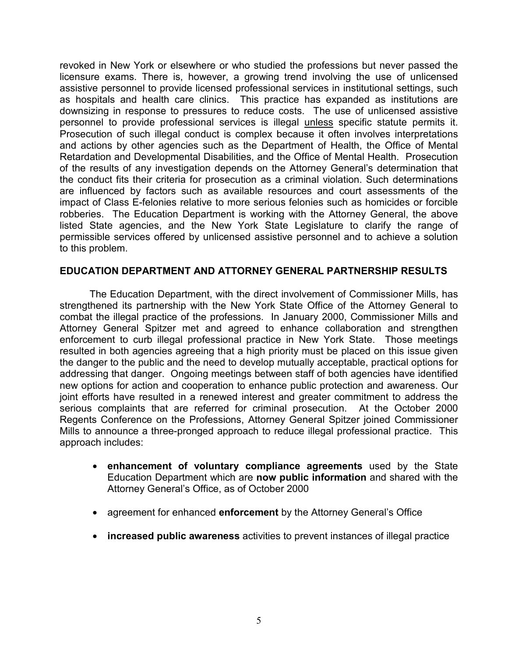licensure exams. There is, however, a growing trend involving the use of unlicensed as hospitals and health care clinics. This practice has expanded as institutions are downsizing in response to pressures to reduce costs. The use of unlicensed assistive personnel to provide professional services is illegal unless specific statute permits it. and actions by other agencies such as the Department of Health, the Office of Mental impact of Class E-felonies relative to more serious felonies such as homicides or forcible robberies. The Education Department is working with the Attorney General, the above listed State agencies, and the New York State Legislature to clarify the range of revoked in New York or elsewhere or who studied the professions but never passed the assistive personnel to provide licensed professional services in institutional settings, such Prosecution of such illegal conduct is complex because it often involves interpretations Retardation and Developmental Disabilities, and the Office of Mental Health. Prosecution of the results of any investigation depends on the Attorney General's determination that the conduct fits their criteria for prosecution as a criminal violation. Such determinations are influenced by factors such as available resources and court assessments of the permissible services offered by unlicensed assistive personnel and to achieve a solution to this problem.

## **EDUCATION DEPARTMENT AND ATTORNEY GENERAL PARTNERSHIP RESULTS**

 strengthened its partnership with the New York State Office of the Attorney General to combat the illegal practice of the professions. In January 2000, Commissioner Mills and Attorney General Spitzer met and agreed to enhance collaboration and strengthen enforcement to curb illegal professional practice in New York State. Those meetings addressing that danger. Ongoing meetings between staff of both agencies have identified serious complaints that are referred for criminal prosecution. At the October 2000 Mills to announce a three-pronged approach to reduce illegal professional practice. This The Education Department, with the direct involvement of Commissioner Mills, has resulted in both agencies agreeing that a high priority must be placed on this issue given the danger to the public and the need to develop mutually acceptable, practical options for new options for action and cooperation to enhance public protection and awareness. Our joint efforts have resulted in a renewed interest and greater commitment to address the Regents Conference on the Professions, Attorney General Spitzer joined Commissioner approach includes:

- • **enhancement of voluntary compliance agreements** used by the State Education Department which are **now public information** and shared with the Attorney General's Office, as of October 2000
- agreement for enhanced **enforcement** by the Attorney General's Office
- • **increased public awareness** activities to prevent instances of illegal practice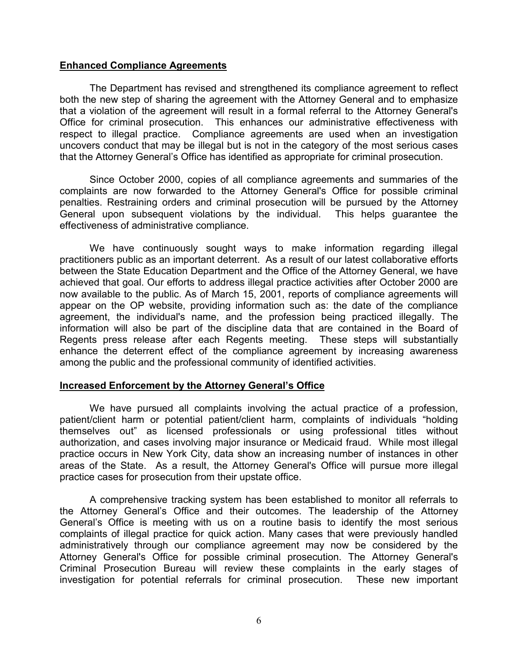## **Enhanced Compliance Agreements**

 Office for criminal prosecution. This enhances our administrative effectiveness with respect to illegal practice. Compliance agreements are used when an investigation uncovers conduct that may be illegal but is not in the category of the most serious cases The Department has revised and strengthened its compliance agreement to reflect both the new step of sharing the agreement with the Attorney General and to emphasize that a violation of the agreement will result in a formal referral to the Attorney General's that the Attorney General's Office has identified as appropriate for criminal prosecution.

Since October 2000, copies of all compliance agreements and summaries of the complaints are now forwarded to the Attorney General's Office for possible criminal penalties. Restraining orders and criminal prosecution will be pursued by the Attorney General upon subsequent violations by the individual. This helps guarantee the effectiveness of administrative compliance.

 We have continuously sought ways to make information regarding illegal between the State Education Department and the Office of the Attorney General, we have information will also be part of the discipline data that are contained in the Board of enhance the deterrent effect of the compliance agreement by increasing awareness practitioners public as an important deterrent. As a result of our latest collaborative efforts achieved that goal. Our efforts to address illegal practice activities after October 2000 are now available to the public. As of March 15, 2001, reports of compliance agreements will appear on the OP website, providing information such as: the date of the compliance agreement, the individual's name, and the profession being practiced illegally. The Regents press release after each Regents meeting. These steps will substantially among the public and the professional community of identified activities.

### **Increased Enforcement by the Attorney General's Office**

 We have pursued all complaints involving the actual practice of a profession, authorization, and cases involving major insurance or Medicaid fraud. While most illegal patient/client harm or potential patient/client harm, complaints of individuals "holding themselves out" as licensed professionals or using professional titles without practice occurs in New York City, data show an increasing number of instances in other areas of the State. As a result, the Attorney General's Office will pursue more illegal practice cases for prosecution from their upstate office.

 A comprehensive tracking system has been established to monitor all referrals to the Attorney General's Office and their outcomes. The leadership of the Attorney General's Office is meeting with us on a routine basis to identify the most serious investigation for potential referrals for criminal prosecution. These new important complaints of illegal practice for quick action. Many cases that were previously handled administratively through our compliance agreement may now be considered by the Attorney General's Office for possible criminal prosecution. The Attorney General's Criminal Prosecution Bureau will review these complaints in the early stages of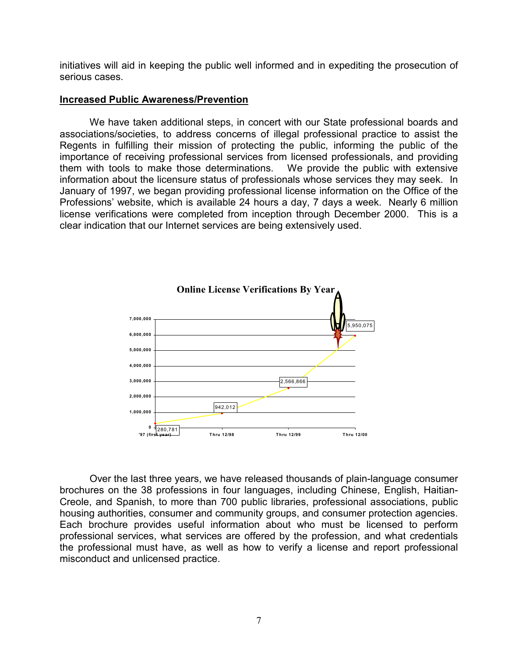initiatives will aid in keeping the public well informed and in expediting the prosecution of serious cases.

### **Increased Public Awareness/Prevention**

 associations/societies, to address concerns of illegal professional practice to assist the information about the licensure status of professionals whose services they may seek. In Professions' website, which is available 24 hours a day, 7 days a week. Nearly 6 million license verifications were completed from inception through December 2000. This is a We have taken additional steps, in concert with our State professional boards and Regents in fulfilling their mission of protecting the public, informing the public of the importance of receiving professional services from licensed professionals, and providing them with tools to make those determinations. We provide the public with extensive January of 1997, we began providing professional license information on the Office of the clear indication that our Internet services are being extensively used.



 brochures on the 38 professions in four languages, including Chinese, English, Haitian- Creole, and Spanish, to more than 700 public libraries, professional associations, public the professional must have, as well as how to verify a license and report professional Over the last three years, we have released thousands of plain-language consumer housing authorities, consumer and community groups, and consumer protection agencies. Each brochure provides useful information about who must be licensed to perform professional services, what services are offered by the profession, and what credentials misconduct and unlicensed practice.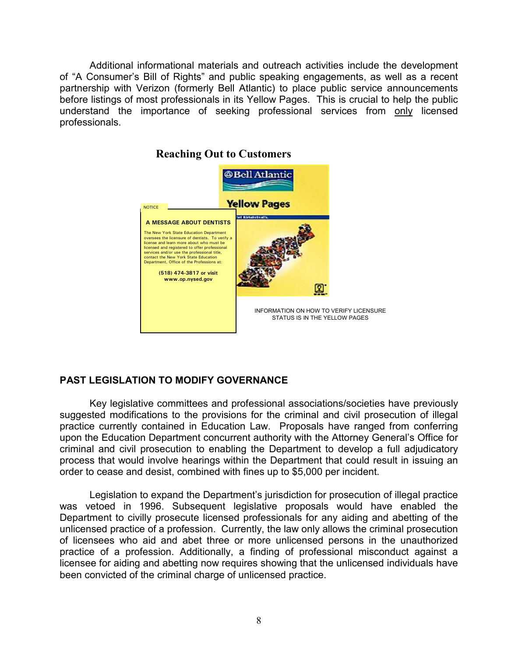before listings of most professionals in its Yellow Pages. This is crucial to help the public Additional informational materials and outreach activities include the development of "A Consumer's Bill of Rights" and public speaking engagements, as well as a recent partnership with Verizon (formerly Bell Atlantic) to place public service announcements understand the importance of seeking professional services from only licensed professionals.



# **PAST LEGISLATION TO MODIFY GOVERNANCE**

 suggested modifications to the provisions for the criminal and civil prosecution of illegal upon the Education Department concurrent authority with the Attorney General's Office for order to cease and desist, combined with fines up to \$5,000 per incident. Key legislative committees and professional associations/societies have previously practice currently contained in Education Law. Proposals have ranged from conferring criminal and civil prosecution to enabling the Department to develop a full adjudicatory process that would involve hearings within the Department that could result in issuing an

 Department to civilly prosecute licensed professionals for any aiding and abetting of the of licensees who aid and abet three or more unlicensed persons in the unauthorized Legislation to expand the Department's jurisdiction for prosecution of illegal practice was vetoed in 1996. Subsequent legislative proposals would have enabled the unlicensed practice of a profession. Currently, the law only allows the criminal prosecution practice of a profession. Additionally, a finding of professional misconduct against a licensee for aiding and abetting now requires showing that the unlicensed individuals have been convicted of the criminal charge of unlicensed practice.